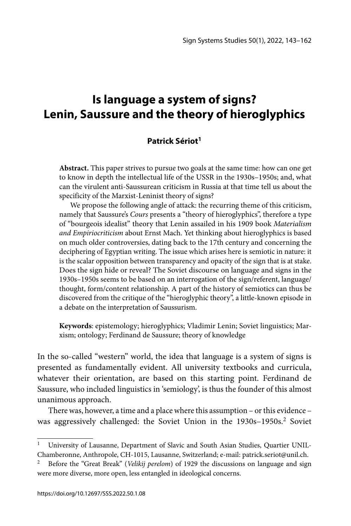# **Is language a system of signs? Lenin, Saussure and the theory of hieroglyphics**

#### **Patrick Sériot1**

**Abstract.** This paper strives to pursue two goals at the same time: how can one get to know in depth the intellectual life of the USSR in the 1930s–1950s; and, what can the virulent anti-Saussurean criticism in Russia at that time tell us about the specificity of the Marxist-Leninist theory of signs?

We propose the following angle of attack: the recurring theme of this criticism, namely that Saussure's *Cours* presents a "theory of hieroglyphics", therefore a type of "bourgeois idealist" theory that Lenin assailed in his 1909 book *Materialism and Empiriocriticism* about Ernst Mach. Yet thinking about hieroglyphics is based on much older controversies, dating back to the 17th century and concerning the deciphering of Egyptian writing. The issue which arises here is semiotic in nature: it is the scalar opposition between transparency and opacity of the sign that is at stake. Does the sign hide or reveal? The Soviet discourse on language and signs in the 1930s–1950s seems to be based on an interrogation of the sign/referent, language/ thought, form/content relationship. A part of the history of semiotics can thus be discovered from the critique of the "hieroglyphic theory", a little-known episode in a debate on the interpretation of Saussurism.

**Keywords**: epistemology; hieroglyphics; Vladimir Lenin; Soviet linguistics; Marxism; ontology; Ferdinand de Saussure; theory of knowledge

In the so-called "western" world, the idea that language is a system of signs is presented as fundamentally evident. All university textbooks and curricula, whatever their orientation, are based on this starting point. Ferdinand de Saussure, who included linguistics in 'semiology', is thus the founder of this almost unanimous approach.

There was, however, a time and a place where this assumption – or this evidence – was aggressively challenged: the Soviet Union in the  $1930s-1950s$ <sup>2</sup> Soviet

<sup>&</sup>lt;sup>1</sup> University of Lausanne, Department of Slavic and South Asian Studies, Quartier UNIL-Chamberonne, Anthropole, CH-1015, Lausanne, Switzerland; e-mail: patrick.seriot@unil.ch.

<sup>2</sup> Before the "Great Break" (*Velikij perelom*) of 1929 the discussions on language and sign were more diverse, more open, less entangled in ideological concerns.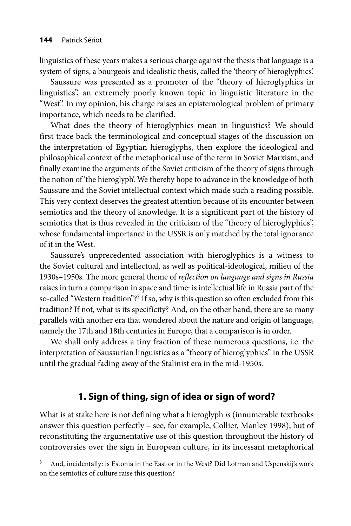linguistics of these years makes a serious charge against the thesis that language is a system of signs, a bourgeois and idealistic thesis, called the 'theory of hieroglyphics'.

Saussure was presented as a promoter of the "theory of hieroglyphics in linguistics", an extremely poorly known topic in linguistic literature in the "West". In my opinion, his charge raises an epistemological problem of primary importance, which needs to be clarified.

What does the theory of hieroglyphics mean in linguistics? We should first trace back the terminological and conceptual stages of the discussion on the interpretation of Egyptian hieroglyphs, then explore the ideological and philosophical context of the metaphorical use of the term in Soviet Marxism, and finally examine the arguments of the Soviet criticism of the theory of signs through the notion of 'the hieroglyph'. We thereby hope to advance in the knowledge of both Saussure and the Soviet intellectual context which made such a reading possible. This very context deserves the greatest attention because of its encounter between semiotics and the theory of knowledge. It is a significant part of the history of semiotics that is thus revealed in the criticism of the "theory of hieroglyphics", whose fundamental importance in the USSR is only matched by the total ignorance of it in the West.

Saussure's unprecedented association with hieroglyphics is a witness to the Soviet cultural and intellectual, as well as political-ideological, milieu of the 1930s–1950s. The more general theme of *reflection on language and signs in Russia* raises in turn a comparison in space and time: is intellectual life in Russia part of the so-called "Western tradition"?<sup>3</sup> If so, why is this question so often excluded from this tradition? If not, what is its specificity? And, on the other hand, there are so many parallels with another era that wondered about the nature and origin of language, namely the 17th and 18th centuries in Europe, that a comparison is in order.

We shall only address a tiny fraction of these numerous questions, i.e. the interpretation of Saussurian linguistics as a "theory of hieroglyphics" in the USSR until the gradual fading away of the Stalinist era in the mid-1950s.

## **1. Sign of thing, sign of idea or sign of word?**

What is at stake here is not defining what a hieroglyph *is* (innumerable textbooks answer this question perfectly – see, for example, Collier, Manley 1998), but of reconstituting the argumentative use of this question throughout the history of controversies over the sign in European culture, in its incessant metaphorical

And, incidentally: is Estonia in the East or in the West? Did Lotman and Uspenskij's work on the semiotics of culture raise this question?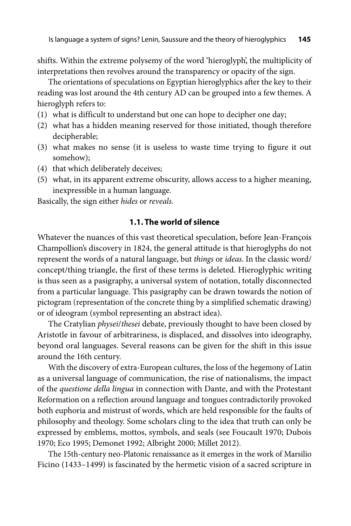shifts. Within the extreme polysemy of the word 'hieroglyph', the multiplicity of interpretations then revolves around the transparency or opacity of the sign.

The orientations of speculations on Egyptian hieroglyphics after the key to their reading was lost around the 4th century AD can be grouped into a few themes. A hieroglyph refers to:

- (1) what is difficult to understand but one can hope to decipher one day;
- (2) what has a hidden meaning reserved for those initiated, though therefore decipherable;
- (3) what makes no sense (it is useless to waste time trying to figure it out somehow);
- (4) that which deliberately deceives;
- (5) what, in its apparent extreme obscurity, allows access to a higher meaning, inexpressible in a human language.

Basically, the sign either *hides* or *reveals.*

#### **1.1. The world of silence**

Whatever the nuances of this vast theoretical speculation, before Jean-François Champollion's discovery in 1824, the general attitude is that hieroglyphs do not represent the words of a natural language, but *things* or *ideas*. In the classic word/ concept/thing triangle, the first of these terms is deleted. Hieroglyphic writing is thus seen as a pasigraphy, a universal system of notation, totally disconnected from a particular language. This pasigraphy can be drawn towards the notion of pictogram (representation of the concrete thing by a simplified schematic drawing) or of ideogram (symbol representing an abstract idea).

The Cratylian *physei*/*thesei* debate, previously thought to have been closed by Aristotle in favour of arbitrariness, is displaced, and dissolves into ideography, beyond oral languages. Several reasons can be given for the shift in this issue around the 16th century.

With the discovery of extra-European cultures, the loss of the hegemony of Latin as a universal language of communication, the rise of nationalisms, the impact of the *questione della lingua* in connection with Dante, and with the Protestant Reformation on a reflection around language and tongues contradictorily provoked both euphoria and mistrust of words, which are held responsible for the faults of philosophy and theology. Some scholars cling to the idea that truth can only be expressed by emblems, mottos, symbols, and seals (see Foucault 1970; Dubois 1970; Eco 1995; Demonet 1992; Albright 2000; Millet 2012).

The 15th-century neo-Platonic renaissance as it emerges in the work of Marsilio Ficino (1433–1499) is fascinated by the hermetic vision of a sacred scripture in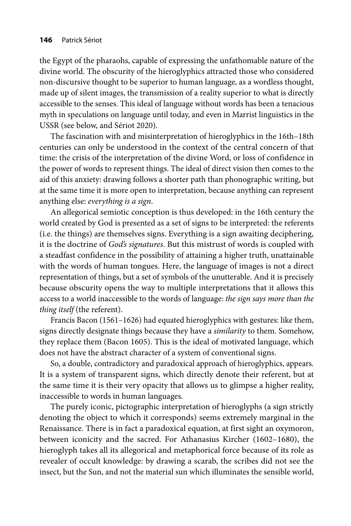the Egypt of the pharaohs, capable of expressing the unfathomable nature of the divine world. The obscurity of the hieroglyphics attracted those who considered non-discursive thought to be superior to human language, as a wordless thought, made up of silent images, the transmission of a reality superior to what is directly accessible to the senses. This ideal of language without words has been a tenacious myth in speculations on language until today, and even in Marrist linguistics in the USSR (see below, and Sériot 2020).

The fascination with and misinterpretation of hieroglyphics in the 16th–18th centuries can only be understood in the context of the central concern of that time: the crisis of the interpretation of the divine Word, or loss of confidence in the power of words to represent things. The ideal of direct vision then comes to the aid of this anxiety: drawing follows a shorter path than phonographic writing, but at the same time it is more open to interpretation, because anything can represent anything else: *everything is a sign*.

An allegorical semiotic conception is thus developed: in the 16th century the world created by God is presented as a set of signs to be interpreted: the referents (i.e. the things) are themselves signs. Everything is a sign awaiting deciphering, it is the doctrine of *God's signatures*. But this mistrust of words is coupled with a steadfast confidence in the possibility of attaining a higher truth, unattainable with the words of human tongues. Here, the language of images is not a direct representation of things, but a set of symbols of the unutterable. And it is precisely because obscurity opens the way to multiple interpretations that it allows this access to a world inaccessible to the words of language: *the sign says more than the thing itself* (the referent).

Francis Bacon (1561–1626) had equated hieroglyphics with gestures: like them, signs directly designate things because they have a *similarity* to them. Somehow, they replace them (Bacon 1605). This is the ideal of motivated language, which does not have the abstract character of a system of conventional signs.

So, a double, contradictory and paradoxical approach of hieroglyphics, appears. It is a system of transparent signs, which directly denote their referent, but at the same time it is their very opacity that allows us to glimpse a higher reality, inaccessible to words in human languages.

The purely iconic, pictographic interpretation of hieroglyphs (a sign strictly denoting the object to which it corresponds) seems extremely marginal in the Renaissance. There is in fact a paradoxical equation, at first sight an oxymoron, between iconicity and the sacred. For Athanasius Kircher (1602–1680), the hieroglyph takes all its allegorical and metaphorical force because of its role as revealer of occult knowledge: by drawing a scarab, the scribes did not see the insect, but the Sun, and not the material sun which illuminates the sensible world,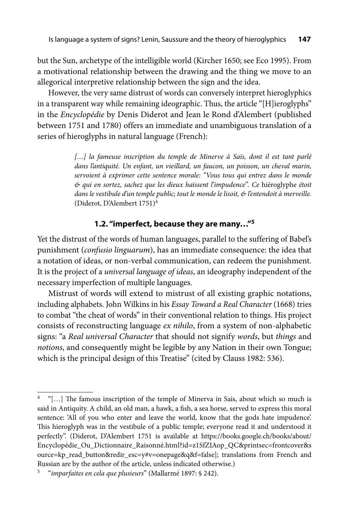but the Sun, archetype of the intelligible world (Kircher 1650; see Eco 1995). From a motivational relationship between the drawing and the thing we move to an allegorical interpretive relationship between the sign and the idea.

However, the very same distrust of words can conversely interpret hieroglyphics in a transparent way while remaining ideographic. Thus, the article "[H]ieroglyphs" in the *Encyclopédie* by Denis Diderot and Jean le Rond d'Alembert (published between 1751 and 1780) offers an immediate and unambiguous translation of a series of hieroglyphs in natural language (French):

> [...] la fameuse inscription du temple de Minerve à Saïs, dont il est tant parlé *dans l'antiquité. Un enfant, un vieillard, un faucon, un poisson, un cheval marin, servoient à exprimer cette sentence morale: "Vous tous qui entrez dans le monde & qui en sortez, sachez que les dieux haïssent l'impudence". Ce* hiéroglyphe *étoit dans le vestibule d'un temple public; tout le monde le lisoit, & l'entendoit à merveille.* (Diderot, D'Alembert 1751)<sup>4</sup>

### **1.2. "imperfect, because they are many…"5**

Yet the distrust of the words of human languages, parallel to the suffering of Babel's punishment (*confusio linguarum*), has an immediate consequence: the idea that a notation of ideas, or non-verbal communication, can redeem the punishment. It is the project of a *universal language of ideas*, an ideography independent of the necessary imperfection of multiple languages.

Mistrust of words will extend to mistrust of all existing graphic notations, including alphabets. John Wilkins in his *Essay Toward a Real Character* (1668) tries to combat "the cheat of words" in their conventional relation to things. His project consists of reconstructing language *ex nihilo*, from a system of non-alphabetic signs: "a *Real universal Character* that should not signify *words*, but *things* and *notions*, and consequently might be legible by any Nation in their own Tongue; which is the principal design of this Treatise" (cited by Clauss 1982: 536).

 $4$  "[...] The famous inscription of the temple of Minerva in Sais, about which so much is said in Antiquity. A child, an old man, a hawk, a fish, a sea horse, served to express this moral sentence: 'All of you who enter and leave the world, know that the gods hate impudence'. This hieroglyph was in the vestibule of a public temple; everyone read it and understood it perfectly". (Diderot, D'Alembert 1751 is available at https://books.google.ch/books/about/ Encyclopédie\_Ou\_Dictionnaire\_Raisonné.html?id=z1SfZIAop\_QC&printsec=frontcover&s [ource=kp\\_read\\_button&redir\\_esc=y#v=onepage&q&f=false\]; translations from French and](https://books.google.ch/books/about/Encyclop%C3%A9die_Ou_Dictionnaire_Raisonn%C3%A9.html?id=z1SfZIAop_QC&printsec=frontcover&source=kp_read_button&redir_esc=y#v=onepage&q&f=true)  Russian are by the author of the article, unless indicated otherwise.)

<sup>5 &</sup>quot;*imparfaites en cela que plusieurs*" (Mallarmé 1897: § 242).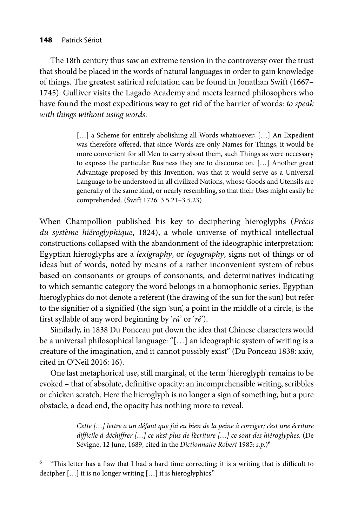The 18th century thus saw an extreme tension in the controversy over the trust that should be placed in the words of natural languages in order to gain knowledge of things. The greatest satirical refutation can be found in Jonathan Swift (1667– 1745). Gulliver visits the Lagado Academy and meets learned philosophers who have found the most expeditious way to get rid of the barrier of words: *to speak with things without using words*.

> [...] a Scheme for entirely abolishing all Words whatsoever; [...] An Expedient was therefore offered, that since Words are only Names for Things, it would be more convenient for all Men to carry about them, such Things as were necessary to express the particular Business they are to discourse on. […] Another great Advantage proposed by this Invention, was that it would serve as a Universal Language to be understood in all civilized Nations, whose Goods and Utensils are generally of the same kind, or nearly resembling, so that their Uses might easily be comprehended. (Swift 1726: 3.5.21–3.5.23)

When Champollion published his key to deciphering hieroglyphs (*Précis du système hiéroglyphique*, 1824), a whole universe of mythical intellectual constructions collapsed with the abandonment of the ideographic interpretation: Egyptian hieroglyphs are a *lexigraphy*, or *logography*, signs not of things or of ideas but of words, noted by means of a rather inconvenient system of rebus based on consonants or groups of consonants, and determinatives indicating to which semantic category the word belongs in a homophonic series. Egyptian hieroglyphics do not denote a referent (the drawing of the sun for the sun) but refer to the signifier of a signified (the sign 'sun', a point in the middle of a circle, is the first syllable of any word beginning by '*râ*' or '*rê*').

Similarly, in 1838 Du Ponceau put down the idea that Chinese characters would be a universal philosophical language: "[…] an ideographic system of writing is a creature of the imagination, and it cannot possibly exist" (Du Ponceau 1838: xxiv, cited in O'Neil 2016: 16).

One last metaphorical use, still marginal, of the term 'hieroglyph' remains to be evoked – that of absolute, definitive opacity: an incomprehensible writing, scribbles or chicken scratch. Here the hieroglyph is no longer a sign of something, but a pure obstacle, a dead end, the opacity has nothing more to reveal.

> *Cette […] lettre a un défaut que j'ai eu bien de la peine à corriger; c'est une écriture difficile à déchiffrer […] ce n'est plus de l'écriture […] ce sont des hiéroglyphes*. (De Sévigné, 12 June, 1689, cited in the *Dictionnaire Robert* 1985: *s.p.*)<sup>6</sup>

<sup>&</sup>quot;This letter has a flaw that I had a hard time correcting; it is a writing that is difficult to decipher […] it is no longer writing […] it is hieroglyphics."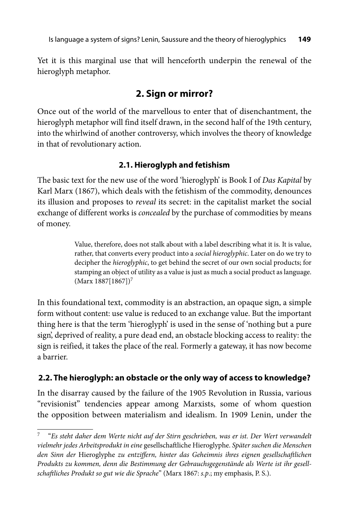Yet it is this marginal use that will henceforth underpin the renewal of the hieroglyph metaphor.

## **2. Sign or mirror?**

Once out of the world of the marvellous to enter that of disenchantment, the hieroglyph metaphor will find itself drawn, in the second half of the 19th century, into the whirlwind of another controversy, which involves the theory of knowledge in that of revolutionary action.

## **2.1. Hieroglyph and fetishism**

The basic text for the new use of the word 'hieroglyph' is Book I of *Das Kapital* by Karl Marx (1867), which deals with the fetishism of the commodity, denounces its illusion and proposes to *reveal* its secret: in the capitalist market the social exchange of different works is *concealed* by the purchase of commodities by means of money.

> Value, therefore, does not stalk about with a label describing what it is. It is value, rather, that converts every product into a *social hieroglyphic*. Later on do we try to decipher the *hieroglyphic*, to get behind the secret of our own social products; for stamping an object of utility as a value is just as much a social product as language. (Marx 1887[1867])7

In this foundational text, commodity is an abstraction, an opaque sign, a simple form without content: use value is reduced to an exchange value. But the important thing here is that the term 'hieroglyph' is used in the sense of 'nothing but a pure sign', deprived of reality, a pure dead end, an obstacle blocking access to reality: the sign is reified, it takes the place of the real. Formerly a gateway, it has now become a barrier.

## **2.2. The hieroglyph: an obstacle or the only way of access to knowledge?**

In the disarray caused by the failure of the 1905 Revolution in Russia, various "revisionist" tendencies appear among Marxists, some of whom question the opposition between materialism and idealism. In 1909 Lenin, under the

<sup>7 &</sup>quot;*Es steht daher dem Werte nicht auf der Stirn geschrieben, was er ist. Der Wert verwandelt vielmehr jedes Arbeitsprodukt in eine* gesellschaft liche Hieroglyphe. *Später suchen die Menschen*  den Sinn der Hieroglyphe zu entziffern, hinter das Geheimnis ihres eignen gesellschaftlichen *Produkts zu kommen, denn die Bestimmung der Gebrauchsgegenstände als Werte ist ihr gesellschaft liches Produkt so gut wie die Sprache*" (Marx 1867: *s.p*.; my emphasis, P. S.).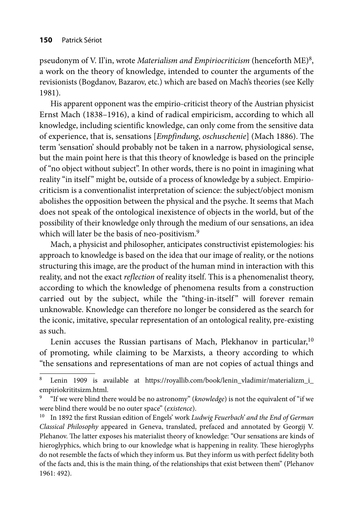pseudonym of V. Il'in, wrote *Materialism and Empiriocriticism* (henceforth ME)8, a work on the theory of knowledge, intended to counter the arguments of the revisionists (Bogdanov, Bazarov, etc.) which are based on Mach's theories (see Kelly 1981).

His apparent opponent was the empirio-criticist theory of the Austrian physicist Ernst Mach (1838–1916), a kind of radical empiricism, according to which all knowledge, including scientific knowledge, can only come from the sensitive data of experience, that is, sensations [*Empfindung*, *oschuschenie*] (Mach 1886). The term 'sensation' should probably not be taken in a narrow, physiological sense, but the main point here is that this theory of knowledge is based on the principle of "no object without subject". In other words, there is no point in imagining what reality "in itself" might be, outside of a process of knowledge by a subject. Empiriocriticism is a conventionalist interpretation of science: the subject/object monism abolishes the opposition between the physical and the psyche. It seems that Mach does not speak of the ontological inexistence of objects in the world, but of the possibility of their knowledge only through the medium of our sensations, an idea which will later be the basis of neo-positivism.<sup>9</sup>

Mach, a physicist and philosopher, anticipates constructivist epistemologies: his approach to knowledge is based on the idea that our image of reality, or the notions structuring this image, are the product of the human mind in interaction with this reality, and not the exact *reflection* of reality itself. This is a phenomenalist theory, according to which the knowledge of phenomena results from a construction carried out by the subject, while the "thing-in-itself" will forever remain unknowable. Knowledge can therefore no longer be considered as the search for the iconic, imitative, specular representation of an ontological reality, pre-existing as such.

Lenin accuses the Russian partisans of Mach, Plekhanov in particular,<sup>10</sup> of promoting, while claiming to be Marxists, a theory according to which "the sensations and representations of man are not copies of actual things and

Lenin 1909 is available at https://royallib.com/book/lenin\_vladimir/materializm\_i\_ empirio krititsizm.html.

<sup>9 &</sup>quot;If we were blind there would be no astronomy" (*knowledge*) is not the equivalent of "if we were blind there would be no outer space" (*existence*).

<sup>&</sup>lt;sup>10</sup> In 1892 the first Russian edition of Engels' work *Ludwig Feuerbach' and the End of German Classical Philosophy* appeared in Geneva, translated, prefaced and annotated by Georgij V. Plehanov. The latter exposes his materialist theory of knowledge: "Our sensations are kinds of hieroglyphics, which bring to our knowledge what is happening in reality. These hieroglyphs do not resemble the facts of which they inform us. But they inform us with perfect fidelity both of the facts and, this is the main thing, of the relationships that exist between them" (Plehanov 1961: 492).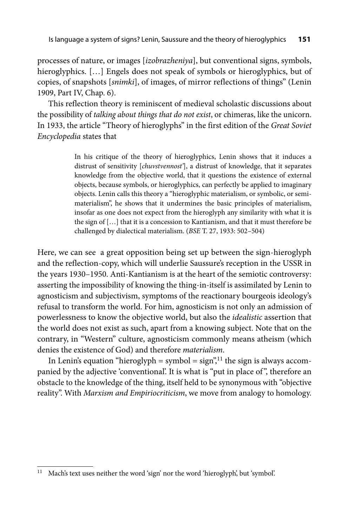processes of nature, or images [*izobrazheniya*], but conventional signs, symbols, hieroglyphics. […] Engels does not speak of symbols or hieroglyphics, but of copies, of snapshots [*snimki*], of images, of mirror reflections of things" (Lenin 1909, Part IV, Chap. 6).

This reflection theory is reminiscent of medieval scholastic discussions about the possibility of *talking about things that do not exist*, or chimeras, like the unicorn. In 1933, the article "Theory of hieroglyphs" in the first edition of the *Great Soviet Encyclopedia* states that

> In his critique of the theory of hieroglyphics, Lenin shows that it induces a distrust of sensitivity [*chuvstvennost'*], a distrust of knowledge, that it separates knowledge from the objective world, that it questions the existence of external objects, because symbols, or hieroglyphics, can perfectly be applied to imaginary objects. Lenin calls this theory a "hieroglyphic materialism, or symbolic, or semimaterialism", he shows that it undermines the basic principles of materialism, insofar as one does not expect from the hieroglyph any similarity with what it is the sign of […] that it is a concession to Kantianism, and that it must therefore be challenged by dialectical materialism. (*BSE* T. 27, 1933: 502–504)

Here, we can see a great opposition being set up between the sign-hieroglyph and the reflection-copy, which will underlie Saussure's reception in the USSR in the years 1930–1950. Anti-Kantianism is at the heart of the semiotic controversy: asserting the impossibility of knowing the thing-in-itself is assimilated by Lenin to agnosticism and subjectivism, symptoms of the reactionary bourgeois ideology's refusal to transform the world. For him, agnosticism is not only an admission of powerlessness to know the objective world, but also the *idealistic* assertion that the world does not exist as such, apart from a knowing subject. Note that on the contrary, in "Western" culture, agnosticism commonly means atheism (which denies the existence of God) and therefore *materialism*.

In Lenin's equation "hieroglyph = symbol =  $sign$ ",<sup>11</sup> the sign is always accompanied by the adjective 'conventional'. It is what is "put in place of ", therefore an obstacle to the knowledge of the thing, itself held to be synonymous with "objective reality". With *Marxism and Empiriocriticism*, we move from analogy to homology.

<sup>&</sup>lt;sup>11</sup> Mach's text uses neither the word 'sign' nor the word 'hieroglyph', but 'symbol'.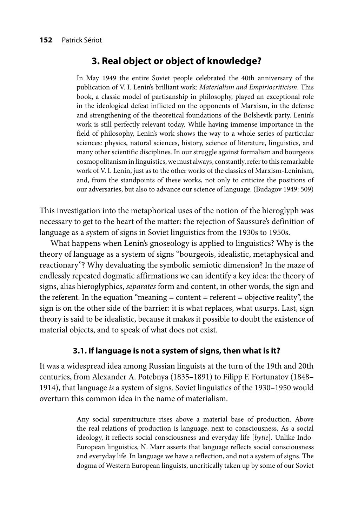## **3. Real object or object of knowledge?**

In May 1949 the entire Soviet people celebrated the 40th anniversary of the publication of V. I. Lenin's brilliant work: *Materialism and Empiriocriticism*. This book, a classic model of partisanship in philosophy, played an exceptional role in the ideological defeat inflicted on the opponents of Marxism, in the defense and strengthening of the theoretical foundations of the Bolshevik party. Lenin's work is still perfectly relevant today. While having immense importance in the field of philosophy, Lenin's work shows the way to a whole series of particular sciences: physics, natural sciences, history, science of literature, linguistics, and many other scientific disciplines. In our struggle against formalism and bourgeois cosmopolitanism in linguistics, we must always, constantly, refer to this remarkable work of V. I. Lenin, just as to the other works of the classics of Marxism-Leninism, and, from the standpoints of these works, not only to criticize the positions of our adversaries, but also to advance our science of language. (Budagov 1949: 509)

This investigation into the metaphorical uses of the notion of the hieroglyph was necessary to get to the heart of the matter: the rejection of Saussure's definition of language as a system of signs in Soviet linguistics from the 1930s to 1950s.

What happens when Lenin's gnoseology is applied to linguistics? Why is the theory of language as a system of signs "bourgeois, idealistic, metaphysical and reactionary"? Why devaluating the symbolic semiotic dimension? In the maze of endlessly repeated dogmatic affirmations we can identify a key idea: the theory of signs, alias hieroglyphics, *separates* form and content, in other words, the sign and the referent. In the equation "meaning *=* content *=* referent *=* objective reality", the sign is on the other side of the barrier: it is what replaces, what usurps. Last, sign theory is said to be idealistic, because it makes it possible to doubt the existence of material objects, and to speak of what does not exist.

#### **3.1. If language is not a system of signs, then what is it?**

It was a widespread idea among Russian linguists at the turn of the 19th and 20th centuries, from Alexander A. Potebnya (1835–1891) to Filipp F. Fortunatov (1848– 1914), that language *is* a system of signs. Soviet linguistics of the 1930–1950 would overturn this common idea in the name of materialism.

> Any social superstructure rises above a material base of production. Above the real relations of production is language, next to consciousness. As a social ideology, it reflects social consciousness and everyday life [*bytie*]. Unlike Indo-European linguistics, N. Marr asserts that language reflects social consciousness and everyday life. In language we have a reflection, and not a system of signs. The dogma of Western European linguists, uncritically taken up by some of our Soviet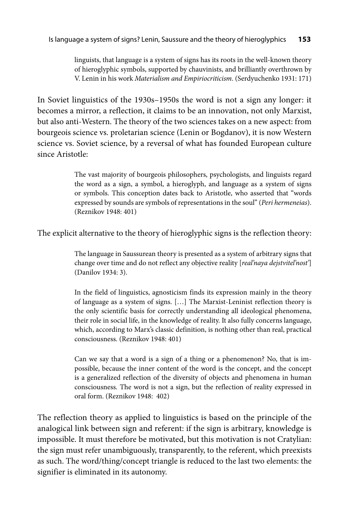linguists, that language is a system of signs has its roots in the well-known theory of hieroglyphic symbols, supported by chauvinists, and brilliantly overthrown by V. Lenin in his work *Materialism and Empiriocriticism*. (Serdyuchenko 1931: 171)

In Soviet linguistics of the 1930s–1950s the word is not a sign any longer: it becomes a mirror, a reflection, it claims to be an innovation, not only Marxist, but also anti-Western. The theory of the two sciences takes on a new aspect: from bourgeois science vs. proletarian science (Lenin or Bogdanov), it is now Western science vs. Soviet science, by a reversal of what has founded European culture since Aristotle:

> The vast majority of bourgeois philosophers, psychologists, and linguists regard the word as a sign, a symbol, a hieroglyph, and language as a system of signs or symbols. This conception dates back to Aristotle, who asserted that "words expressed by sounds are symbols of representations in the soul" (*Peri hermeneias*). (Reznikov 1948: 401)

The explicit alternative to the theory of hieroglyphic signs is the reflection theory:

The language in Saussurean theory is presented as a system of arbitrary signs that change over time and do not reflect any objective reality [*real'naya dejstvitel'nost'*] (Danilov 1934: 3).

In the field of linguistics, agnosticism finds its expression mainly in the theory of language as a system of signs. […] The Marxist-Leninist reflection theory is the only scientific basis for correctly understanding all ideological phenomena, their role in social life, in the knowledge of reality. It also fully concerns language, which, according to Marx's classic definition, is nothing other than real, practical consciousness. (Reznikov 1948: 401)

Can we say that a word is a sign of a thing or a phenomenon? No, that is impossible, because the inner content of the word is the concept, and the concept is a generalized reflection of the diversity of objects and phenomena in human consciousness. The word is not a sign, but the reflection of reality expressed in oral form. (Reznikov 1948: 402)

The reflection theory as applied to linguistics is based on the principle of the analogical link between sign and referent: if the sign is arbitrary, knowledge is impossible. It must therefore be motivated, but this motivation is not Cratylian: the sign must refer unambiguously, transparently, to the referent, which preexists as such. The word/thing/concept triangle is reduced to the last two elements: the signifier is eliminated in its autonomy.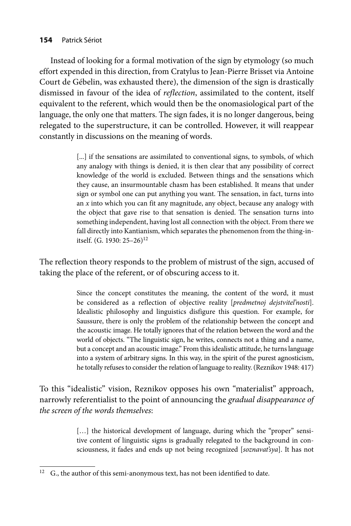#### **154** Patrick Sériot

Instead of looking for a formal motivation of the sign by etymology (so much effort expended in this direction, from Cratylus to Jean-Pierre Brisset via Antoine Court de Gébelin, was exhausted there), the dimension of the sign is drastically dismissed in favour of the idea of *reflection*, assimilated to the content, itself equivalent to the referent, which would then be the onomasiological part of the language, the only one that matters. The sign fades, it is no longer dangerous, being relegated to the superstructure, it can be controlled. However, it will reappear constantly in discussions on the meaning of words.

> [...] if the sensations are assimilated to conventional signs, to symbols, of which any analogy with things is denied, it is then clear that any possibility of correct knowledge of the world is excluded. Between things and the sensations which they cause, an insurmountable chasm has been established. It means that under sign or symbol one can put anything you want. The sensation, in fact, turns into an *x* into which you can fit any magnitude, any object, because any analogy with the object that gave rise to that sensation is denied. The sensation turns into something independent, having lost all connection with the object. From there we fall directly into Kantianism, which separates the phenomenon from the thing-initself. (G. 1930: 25-26)<sup>12</sup>

The reflection theory responds to the problem of mistrust of the sign, accused of taking the place of the referent, or of obscuring access to it.

> Since the concept constitutes the meaning, the content of the word, it must be considered as a reflection of objective reality [*predmetnoj dejstvitel'nosti*]. Idealistic philosophy and linguistics disfigure this question. For example, for Saussure, there is only the problem of the relationship between the concept and the acoustic image. He totally ignores that of the relation between the word and the world of objects. "The linguistic sign, he writes, connects not a thing and a name, but a concept and an acoustic image." From this idealistic attitude, he turns language into a system of arbitrary signs. In this way, in the spirit of the purest agnosticism, he totally refuses to consider the relation of language to reality. (Reznikov 1948: 417)

To this "idealistic" vision, Reznikov opposes his own "materialist" approach, narrowly referentialist to the point of announcing the *gradual disappearance of the screen of the words themselves*:

> [...] the historical development of language, during which the "proper" sensitive content of linguistic signs is gradually relegated to the background in consciousness, it fades and ends up not being recognized [*soznavat'sya*]. It has not

 $12$  G., the author of this semi-anonymous text, has not been identified to date.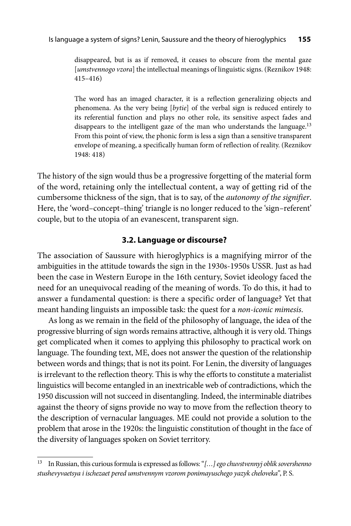disappeared, but is as if removed, it ceases to obscure from the mental gaze [*umstvennogo vzora*] the intellectual meanings of linguistic signs. (Reznikov 1948: 415–416)

The word has an imaged character, it is a reflection generalizing objects and phenomena. As the very being [*bytie*] of the verbal sign is reduced entirely to its referential function and plays no other role, its sensitive aspect fades and disappears to the intelligent gaze of the man who understands the language.<sup>13</sup> From this point of view, the phonic form is less a sign than a sensitive transparent envelope of meaning, a specifically human form of reflection of reality. (Reznikov 1948: 418)

The history of the sign would thus be a progressive forgetting of the material form of the word, retaining only the intellectual content, a way of getting rid of the cumbersome thickness of the sign, that is to say, of the *autonomy of the signifier*. Here, the 'word-concept-thing' triangle is no longer reduced to the 'sign-referent' couple, but to the utopia of an evanescent, transparent sign.

#### **3.2. Language or discourse?**

The association of Saussure with hieroglyphics is a magnifying mirror of the ambiguities in the attitude towards the sign in the 1930s-1950s USSR. Just as had been the case in Western Europe in the 16th century, Soviet ideology faced the need for an unequivocal reading of the meaning of words. To do this, it had to answer a fundamental question: is there a specific order of language? Yet that meant handing linguists an impossible task: the quest for a *non-iconic mimesis*.

As long as we remain in the field of the philosophy of language, the idea of the progressive blurring of sign words remains attractive, although it is very old. Things get complicated when it comes to applying this philosophy to practical work on language. The founding text, ME, does not answer the question of the relationship between words and things; that is not its point. For Lenin, the diversity of languages is irrelevant to the reflection theory. This is why the efforts to constitute a materialist linguistics will become entangled in an inextricable web of contradictions, which the 1950 discussion will not succeed in disentangling. Indeed, the interminable diatribes against the theory of signs provide no way to move from the reflection theory to the description of vernacular languages. ME could not provide a solution to the problem that arose in the 1920s: the linguistic constitution of thought in the face of the diversity of languages spoken on Soviet territory.

<sup>13</sup> In Russian, this curious formula is expressed as follows: "*[…] ego chuvstvennyj oblik sovershenno stushevyvaetsya i ischezaet pered umstvennym vzorom ponimayuschego yazyk cheloveka"*, P. S.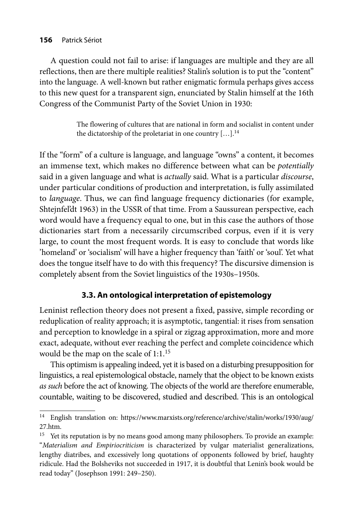#### **156** Patrick Sériot

A question could not fail to arise: if languages are multiple and they are all reflections, then are there multiple realities? Stalin's solution is to put the "content" into the language. A well-known but rather enigmatic formula perhaps gives access to this new quest for a transparent sign, enunciated by Stalin himself at the 16th Congress of the Communist Party of the Soviet Union in 1930:

> The flowering of cultures that are national in form and socialist in content under the dictatorship of the proletariat in one country  $[...]$ .<sup>14</sup>

If the "form" of a culture is language, and language "owns" a content, it becomes an immense text, which makes no difference between what can be *potentially* said in a given language and what is *actually* said. What is a particular *discourse*, under particular conditions of production and interpretation, is fully assimilated to *language*. Thus, we can find language frequency dictionaries (for example, Shtejnfel'dt 1963) in the USSR of that time. From a Saussurean perspective, each word would have a frequency equal to one, but in this case the authors of those dictionaries start from a necessarily circumscribed corpus, even if it is very large, to count the most frequent words. It is easy to conclude that words like 'homeland' or 'socialism' will have a higher frequency than 'faith' or 'soul'. Yet what does the tongue itself have to do with this frequency? The discursive dimension is completely absent from the Soviet linguistics of the 1930s–1950s.

### **3.3. An ontological interpretation of epistemology**

Leninist reflection theory does not present a fixed, passive, simple recording or reduplication of reality approach; it is asymptotic, tangential: it rises from sensation and perception to knowledge in a spiral or zigzag approximation, more and more exact, adequate, without ever reaching the perfect and complete coincidence which would be the map on the scale of 1:1.<sup>15</sup>

This optimism is appealing indeed, yet it is based on a disturbing presupposition for linguistics, a real epistemological obstacle, namely that the object to be known exists *as such* before the act of knowing. The objects of the world are therefore enumerable, countable, waiting to be discovered, studied and described. This is an ontological

[<sup>14</sup> English translation on: https://www.marxists.org/reference/archive/stalin/works/1930/aug/](https://www.marxists.org/reference/archive/stalin/works/1930/aug/27.htm) 27.htm.

<sup>&</sup>lt;sup>15</sup> Yet its reputation is by no means good among many philosophers. To provide an example: "*Materialism and Empiriocriticism* is characterized by vulgar materialist generalizations, lengthy diatribes, and excessively long quotations of opponents followed by brief, haughty ridicule. Had the Bolsheviks not succeeded in 1917, it is doubtful that Lenin's book would be read today" (Josephson 1991: 249–250).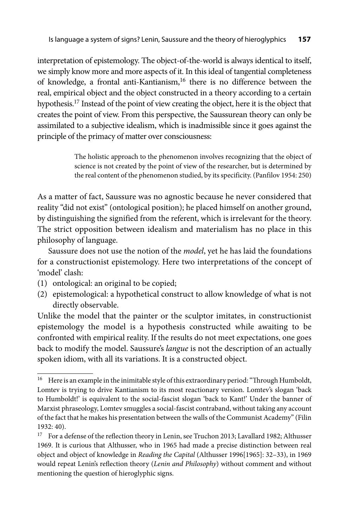interpretation of epistemology. The object-of-the-world is always identical to itself, we simply know more and more aspects of it. In this ideal of tangential completeness of knowledge, a frontal anti-Kantianism,<sup>16</sup> there is no difference between the real, empirical object and the object constructed in a theory according to a certain hypothesis.17 Instead of the point of view creating the object, here it is the object that creates the point of view. From this perspective, the Saussurean theory can only be assimilated to a subjective idealism, which is inadmissible since it goes against the principle of the primacy of matter over consciousness:

> The holistic approach to the phenomenon involves recognizing that the object of science is not created by the point of view of the researcher, but is determined by the real content of the phenomenon studied, by its specificity. (Panfilov 1954: 250)

As a matter of fact, Saussure was no agnostic because he never considered that reality "did not exist" (ontological position); he placed himself on another ground, by distinguishing the signified from the referent, which is irrelevant for the theory. The strict opposition between idealism and materialism has no place in this philosophy of language.

Saussure does not use the notion of the *model*, yet he has laid the foundations for a constructionist epistemology. Here two interpretations of the concept of 'model' clash:

- (1) ontological: an original to be copied;
- (2) epistemological: a hypothetical construct to allow knowledge of what is not directly observable.

Unlike the model that the painter or the sculptor imitates, in constructionist epistemology the model is a hypothesis constructed while awaiting to be confronted with empirical reality. If the results do not meet expectations, one goes back to modify the model. Saussure's *langue* is not the description of an actually spoken idiom, with all its variations. It is a constructed object.

<sup>&</sup>lt;sup>16</sup> Here is an example in the inimitable style of this extraordinary period: "Through Humboldt, Lomtev is trying to drive Kantianism to its most reactionary version. Lomtev's slogan 'back to Humboldt!' is equivalent to the social-fascist slogan 'back to Kant!' Under the banner of Marxist phraseology, Lomtev smuggles a social-fascist contraband, without taking any account of the fact that he makes his presentation between the walls of the Communist Academy" (Filin 1932: 40).

<sup>&</sup>lt;sup>17</sup> For a defense of the reflection theory in Lenin, see Truchon 2013; Lavallard 1982; Althusser 1969. It is curious that Althusser, who in 1965 had made a precise distinction between real object and object of knowledge in *Reading the Capital* (Althusser 1996[1965]: 32–33), in 1969 would repeat Lenin's reflection theory (*Lenin and Philosophy*) without comment and without mentioning the question of hieroglyphic signs.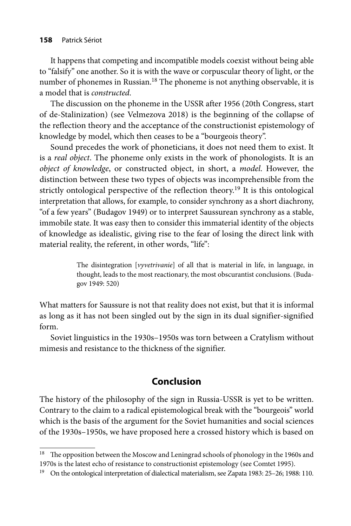It happens that competing and incompatible models coexist without being able to "falsify" one another. So it is with the wave or corpuscular theory of light, or the number of phonemes in Russian.<sup>18</sup> The phoneme is not anything observable, it is a model that is *constructed*.

The discussion on the phoneme in the USSR after 1956 (20th Congress, start of de-Stalinization) (see Velmezova 2018) is the beginning of the collapse of the reflection theory and the acceptance of the constructionist epistemology of knowledge by model, which then ceases to be a "bourgeois theory".

Sound precedes the work of phoneticians, it does not need them to exist. It is a *real object*. The phoneme only exists in the work of phonologists. It is an *object of knowledge*, or constructed object, in short, a *model*. However, the distinction between these two types of objects was incomprehensible from the strictly ontological perspective of the reflection theory.<sup>19</sup> It is this ontological interpretation that allows, for example, to consider synchrony as a short diachrony, "of a few years" (Budagov 1949) or to interpret Saussurean synchrony as a stable, immobile state. It was easy then to consider this immaterial identity of the objects of knowledge as idealistic, giving rise to the fear of losing the direct link with material reality, the referent, in other words, "life":

> The disintegration [*vyvetrivanie*] of all that is material in life, in language, in thought, leads to the most reactionary, the most obscurantist conclusions. (Budagov 1949: 520)

What matters for Saussure is not that reality does not exist, but that it is informal as long as it has not been singled out by the sign in its dual signifier-signified form.

Soviet linguistics in the 1930s–1950s was torn between a Cratylism without mimesis and resistance to the thickness of the signifier.

## **Conclusion**

The history of the philosophy of the sign in Russia-USSR is yet to be written. Contrary to the claim to a radical epistemological break with the "bourgeois" world which is the basis of the argument for the Soviet humanities and social sciences of the 1930s–1950s, we have proposed here a crossed history which is based on

<sup>&</sup>lt;sup>18</sup> The opposition between the Moscow and Leningrad schools of phonology in the 1960s and 1970s is the latest echo of resistance to constructionist epistemology (see Comtet 1995).

<sup>&</sup>lt;sup>19</sup> On the ontological interpretation of dialectical materialism, see Zapata 1983: 25–26; 1988: 110.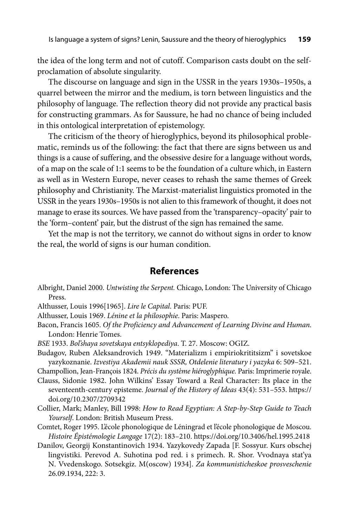the idea of the long term and not of cutoff. Comparison casts doubt on the selfproclamation of absolute singularity.

The discourse on language and sign in the USSR in the years 1930s–1950s, a quarrel between the mirror and the medium, is torn between linguistics and the philosophy of language. The reflection theory did not provide any practical basis for constructing grammars. As for Saussure, he had no chance of being included in this ontological interpretation of epistemology.

The criticism of the theory of hieroglyphics, beyond its philosophical problematic, reminds us of the following: the fact that there are signs between us and things is a cause of suffering, and the obsessive desire for a language without words, of a map on the scale of 1:1 seems to be the foundation of a culture which, in Eastern as well as in Western Europe, never ceases to rehash the same themes of Greek philosophy and Christianity. The Marxist-materialist linguistics promoted in the USSR in the years 1930s–1950s is not alien to this framework of thought, it does not manage to erase its sources. We have passed from the 'transparency–opacity' pair to the 'form–content' pair, but the distrust of the sign has remained the same.

Yet the map is not the territory, we cannot do without signs in order to know the real, the world of signs is our human condition.

#### **References**

Albright, Daniel 2000. *Untwisting the Serpent.* Chicago, London: The University of Chicago Press.

Althusser, Louis 1996[1965]. *Lire le Capital*. Paris: PUF.

Althusser, Louis 1969. *Lénine et la philosophie*. Paris: Maspero.

- Bacon, Francis 1605. *Of the Proficiency and Advancement of Learning Divine and Human*. London: Henrie Tomes.
- *BSE* 1933. *Bol'shaya sovetskaya entsyklopediya*. T. 27. Moscow: OGIZ.
- Budagov, Ruben Aleksandrovich 1949. "Materializm i empiriokrititsizm" i sovetskoe yazykoznanie. *Izvestiya Akademii nauk SSSR, Otdelenie literatury i yazyka* 6: 509–521.

Champollion, Jean-François 1824. *Précis du système hiéroglyphique*. Paris: Imprimerie royale.

- Clauss, Sidonie 1982. John Wilkins' Essay Toward a Real Character: Its place in the seventeenth-century episteme. *Journal of the History of Ideas* 43(4): 531–553. https:// doi.org/10.2307/2709342
- Collier, Mark; Manley, Bill 1998: *How to Read Egyptian: A Step-by-Step Guide to Teach Yourself*. London: British Museum Press.
- Comtet, Roger 1995. L'école phonologique de Léningrad et l'école phonologique de Moscou. *Histoire Épistémologie Langage* 17(2): 183–210. https://doi.org/10.3406/hel.1995.2418
- Danilov, Georgij Konstantinovich 1934. Yazykovedy Zapada [F. Sossyur. Kurs obschej lingvistiki. Perevod A. Suhotina pod red. i s primech. R. Shor. Vvodnaya stat'ya N. Vvedenskogo. Sotsekgiz. М(oscow) 1934]. *Za kommunisticheskoe prosveschenie* 26.09.1934, 222: 3.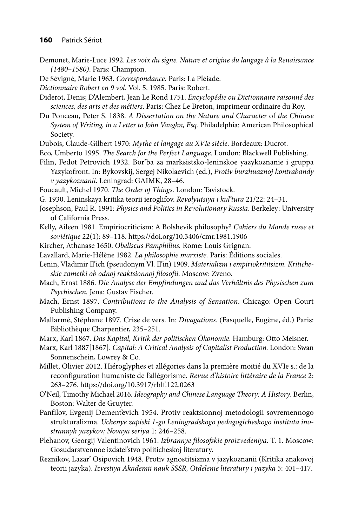- Demonet, Marie-Luce 1992. *Les voix du signe. Nature et origine du langage à la Renaissance (1480–1580)*. Paris: Champion.
- De Sévigné, Marie 1963. *Correspondance.* Paris: La Pléiade.
- *Dictionnaire Robert en 9 vol.* Vol. 5. 1985. Paris: Robert.
- Diderot, Denis; D'Alembert, Jean Le Rond 1751. *Encyclopédie ou Dictionnaire raisonné des sciences, des arts et des métiers*. Paris: Chez Le Breton, imprimeur ordinaire du Roy.

Du Ponceau, Peter S. 1838. *A Dissertation on the Nature and Character* of *the Chinese System of Writing, in a Letter to John Vaughn, Esq.* Philadelphia: American Philosophical Society.

- Dubois, Claude-Gilbert 1970: *Mythe et langage au XVIe siècle*. Bordeaux: Ducrot.
- Eco, Umberto 1995. *The Search for the Perfect Language*. London: Blackwell Publishing.
- Filin, Fedot Petrovich 1932. Bor'ba za marksistsko-leninskoe yazykoznanie i gruppa Yazykofront. In: Bykovskij, Sergej Nikolaevich (ed.), *Protiv burzhuaznoj kontrabandy v yazykoznanii*. Leningrad: GAIMK, 28–46.
- Foucault, Michel 1970. *The Order of Things*. London: Tavistock.
- G. 1930. Leninskaya kritika teorii ieroglifov. *Revolyutsiya i kul'tura* 21/22: 24–31.
- Josephson, Paul R. 1991: *Physics and Politics in Revolutionary Russia*. Berkeley: University of California Press.
- Kelly, Aileen 1981. Empiriocriticism: A Bolshevik philosophy? *Cahiers du Monde russe et soviétique* 22(1): 89–118. https://doi.org/10.3406/cmr.1981.1906
- Kircher, Athanase 1650. *Obeliscus Pamphilius.* Rome: Louis Grignan.
- Lavallard, Marie-Hélène 1982. *La philosophie marxiste.* Paris: Éditions sociales.
- Lenin, Vladimir Il'ich (pseudonym Vl. Il'in) 1909. *Materializm i empiriokrititsizm. Kriticheskie zametki ob odnoj reaktsionnoj filosofii*. Moscow: Zveno.
- Mach, Ernst 1886. *Die Analyse der Empfindungen und das Verhältnis des Physischen zum Psychischen.* Jena: Gustav Fischer.
- Mach, Ernst 1897. *Contributions to the Analysis of Sensation*. Chicago: Open Court Publishing Company.
- Mallarmé, Stéphane 1897. Crise de vers. In: *Divagations*. (Fasquelle, Eugène, éd.) Paris: Bibliothèque Charpentier, 235–251.
- Marx, Karl 1867. *Das Kapital, Kritik der politischen Ökonomie*. Hamburg: Otto Meisner.
- Marx, Karl 1887[1867]. *Capital: A Critical Analysis of Capitalist Production.* London: Swan Sonnenschein, Lowrey & Co.
- Millet, Olivier 2012. Hiéroglyphes et allégories dans la première moitié du XVIe s.: de la reconfiguration humaniste de l'allégorisme. *Revue d'histoire littéraire de la France* 2: 263–276. https://doi.org/10.3917/rhlf.122.0263
- O'Neil, Timothy Michael 2016. *Ideography and Chinese Language Theory: A History*. Berlin, Boston: Walter de Gruyter.
- Panfilov, Evgenij Dement'evich 1954. Protiv reaktsionnoj metodologii sovremennogo strukturalizma. *Uchenye zapiski 1-go Leningradskogo pedagogicheskogo instituta inostran nyh yazykov; Novaya seriya* 1: 246–258.
- Plehanov, Georgij Valentinovich 1961. *Izbrannye filosofskie proizvedeniya.* T. 1. Moscow: Gosudarstvennoe izdatel'stvo politicheskoj literatury.
- Reznikov, Lazar' Osipovich 1948. Protiv agnostitsizma v jazykoznanii (Kritika znakovoj teorii jazyka). *Izvestiya Akademii nauk SSSR, Otdelenie literatury i yazyka* 5: 401–417.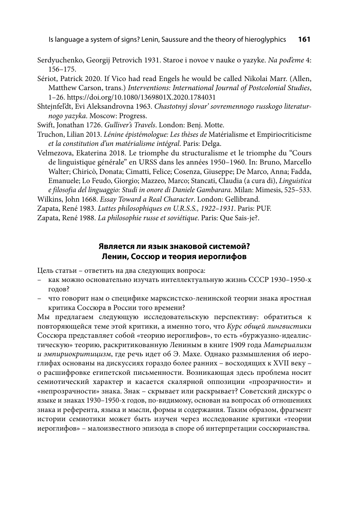Is language a system of signs? Lenin, Saussure and the theory of hieroglyphics **161**

Serdyuchenko, Georgij Petrovich 1931. Staroe i novoe v nauke o yazyke. *Na pod'eme* 4: 156–175.

Sériot, Patrick 2020. If Vico had read Engels he would be called Nikolai Marr. (Allen, Matthew Carson, trans.) *Interventions: International Journal of Postcolonial Studies*, 1–26. https://doi.org/10.1080/1369801X.2020.1784031

Shtejnfel'dt, Evi Aleksandrovna 1963. *Chastotnyj slovar' sovremennogo russkogo literaturnogo yazyka*. Moscow: Progress.

Swift, Jonathan 1726. *Gulliver's Travels*. London: Benj. Motte.

Truchon, Lilian 2013. *Lénine épistémologue: Les thè ses de* Maté rialisme et Empiriocriticisme *et la constitution d'un maté rialisme inté gral*. Paris: Delga.

Velmezova, Ekaterina 2018. Le triomphe du structuralisme et le triomphe du "Cours de linguistique générale" en URSS dans les années 1950–1960. In: Bruno, Marcello Walter; Chiricò, Donata; Cimatti, Felice; Cosenza, Giuseppe; De Marco, Anna; Fadda, Emanuele; Lo Feudo, Giorgio; Mazzeo, Marco; Stancati, Claudia (a cura di), *Linguistica e filosofia del linguaggio: Studi in onore di Daniele Gambarara*. Milan: Mimesis, 525–533.

Wilkins, John 1668. *Essay Toward a Real Character*. London: Gellibrand.

Zapata, René 1983. *Luttes philosophiques en U.R.S.S., 1922–1931*. Paris: PUF.

Zapata, René 1988. *La philosophie russe et soviétique*. Paris: Que Sais-je?.

#### **Является ли язык знаковой системой? Ленин, Соссюр и теория иероглифов**

Цель статьи – ответить на два следующих вопроса:

- как можно основательно изучать интеллектуальную жизнь СССР 1930–1950-х годов?
- что говорит нам о специфике марксистско-ленинской теории знака яростная критика Соссюра в России того времени?

Мы предлагаем следующую исследовательскую перспективу: обратиться к повторяю щейся теме этой критики, а именно того, что *Курс общей лингвистики* Соссюра представляет собой «теорию иероглифов», то есть «буржуазно-идеалистическую» теорию, раскритикованную Лениным в книге 1909 года *Материализм и эмпириокритицизм*, где речь идет об Э. Махе. Однако размышления об иероглифах основаны на дискуссиях гораздо более ранних – восходящих к XVII веку – о расшифровке египетской письменности. Возникающая здесь проблема носит семиотический характер и касается скалярной оппозиции «прозрачности» и «непрозрачности» знака. Знак – скрывает или раскрывает? Советский дискурс о языке и знаках 1930–1950-х годов, по-видимому, основан на вопросах об отношениях знака и референта, языка и мысли, формы и содержания. Таким образом, фрагмент истории семиотики может быть изучен через исследование критики «теории иероглифов» – малоизвестного эпизода в споре об интерпретации соссюрианства.